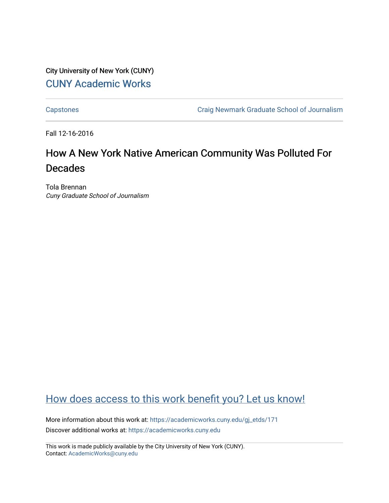# City University of New York (CUNY) [CUNY Academic Works](https://academicworks.cuny.edu/)

[Capstones](https://academicworks.cuny.edu/gj_etds) [Craig Newmark Graduate School of Journalism](https://academicworks.cuny.edu/gj) 

Fall 12-16-2016

# How A New York Native American Community Was Polluted For Decades

Tola Brennan Cuny Graduate School of Journalism

# [How does access to this work benefit you? Let us know!](http://ols.cuny.edu/academicworks/?ref=https://academicworks.cuny.edu/gj_etds/171)

More information about this work at: [https://academicworks.cuny.edu/gj\\_etds/171](https://academicworks.cuny.edu/gj_etds/171)  Discover additional works at: [https://academicworks.cuny.edu](https://academicworks.cuny.edu/?)

This work is made publicly available by the City University of New York (CUNY). Contact: [AcademicWorks@cuny.edu](mailto:AcademicWorks@cuny.edu)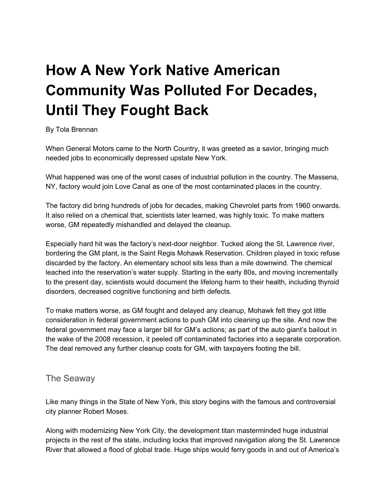# **How A New York Native American Community Was Polluted For Decades, Until They Fought Back**

#### By Tola Brennan

When General Motors came to the North Country, it was greeted as a savior, bringing much needed jobs to economically depressed upstate New York.

What happened was one of the worst cases of industrial pollution in the country. The Massena, NY, factory would join Love Canal as one of the most contaminated places in the country.

The factory did bring hundreds of jobs for decades, making Chevrolet parts from 1960 onwards. It also relied on a chemical that, scientists later learned, was highly toxic. To make matters worse, GM repeatedly mishandled and delayed the cleanup.

Especially hard hit was the factory's next-door neighbor. Tucked along the St. Lawrence river, bordering the GM plant, is the Saint Regis Mohawk Reservation. Children played in toxic refuse discarded by the factory. An elementary school sits less than a mile downwind. The chemical leached into the reservation's water supply. Starting in the early 80s, and moving incrementally to the present day, scientists would document the lifelong harm to their health, including thyroid disorders, decreased cognitive functioning and birth defects.

To make matters worse, as GM fought and delayed any cleanup, Mohawk felt they got little consideration in federal government actions to push GM into cleaning up the site. And now the federal government may face a larger bill for GM's actions; as part of the auto giant's bailout in the wake of the 2008 recession, it peeled off contaminated factories into a separate corporation. The deal removed any further cleanup costs for GM, with taxpayers footing the bill.

#### The Seaway

Like many things in the State of New York, this story begins with the famous and controversial city planner Robert Moses.

Along with modernizing New York City, the development titan masterminded huge industrial projects in the rest of the state, including locks that improved navigation along the St. Lawrence River that allowed a flood of global trade. Huge ships would ferry goods in and out of America's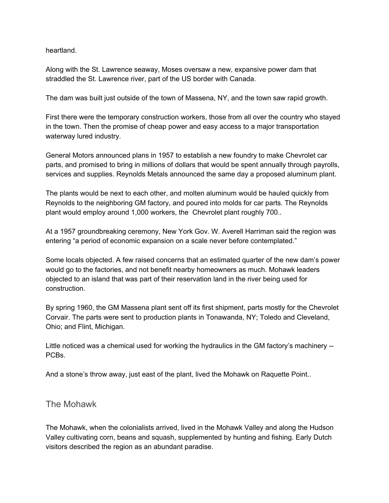heartland.

Along with the St. Lawrence seaway, Moses oversaw a new, expansive power dam that straddled the St. Lawrence river, part of the US border with Canada.

The dam was built just outside of the town of Massena, NY, and the town saw rapid growth.

First there were the temporary construction workers, those from all over the country who stayed in the town. Then the promise of cheap power and easy access to a major transportation waterway lured industry.

General Motors announced plans in 1957 to establish a new foundry to make Chevrolet car parts, and promised to bring in millions of dollars that would be spent annually through payrolls, services and supplies. Reynolds Metals announced the same day a proposed aluminum plant.

The plants would be next to each other, and molten aluminum would be hauled quickly from Reynolds to the neighboring GM factory, and poured into molds for car parts. The Reynolds plant would employ around 1,000 workers, the Chevrolet plant roughly 700..

At a 1957 groundbreaking ceremony, New York Gov. W. Averell Harriman said the region was entering "a period of economic expansion on a scale never before contemplated."

Some locals objected. A few raised concerns that an estimated quarter of the new dam's power would go to the factories, and not benefit nearby homeowners as much. Mohawk leaders objected to an island that was part of their reservation land in the river being used for construction.

By spring 1960, the GM Massena plant sent off its first shipment, parts mostly for the Chevrolet Corvair. The parts were sent to production plants in Tonawanda, NY; Toledo and Cleveland, Ohio; and Flint, Michigan.

Little noticed was a chemical used for working the hydraulics in the GM factory's machinery -- PCBs.

And a stone's throw away, just east of the plant, lived the Mohawk on Raquette Point..

The Mohawk

The Mohawk, when the colonialists arrived, lived in the Mohawk Valley and along the Hudson Valley cultivating corn, beans and squash, supplemented by hunting and fishing. Early Dutch visitors described the region as an abundant paradise.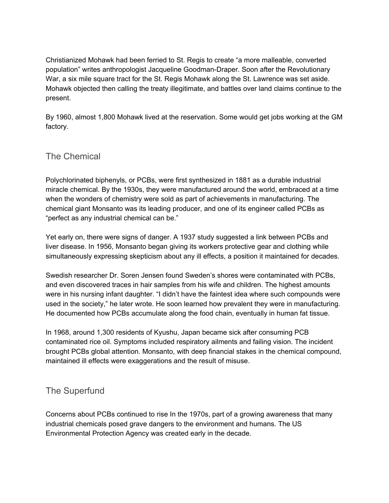Christianized Mohawk had been ferried to St. Regis to create "a more malleable, converted population" writes anthropologist Jacqueline Goodman-Draper. Soon after the Revolutionary War, a six mile square tract for the St. Regis Mohawk along the St. Lawrence was set aside. Mohawk objected then calling the treaty illegitimate, and battles over land claims continue to the present.

By 1960, almost 1,800 Mohawk lived at the reservation. Some would get jobs working at the GM factory.

## The Chemical

Polychlorinated biphenyls, or PCBs, were first synthesized in 1881 as a durable industrial miracle chemical. By the 1930s, they were manufactured around the world, embraced at a time when the wonders of chemistry were sold as part of achievements in manufacturing. The chemical giant Monsanto was its leading producer, and one of its engineer called PCBs as "perfect as any industrial chemical can be."

Yet early on, there were signs of danger. A 1937 study suggested a link between PCBs and liver disease. In 1956, Monsanto began giving its workers protective gear and clothing while simultaneously expressing skepticism about any ill effects, a position it maintained for decades.

Swedish researcher Dr. Soren Jensen found Sweden's shores were contaminated with PCBs, and even discovered traces in hair samples from his wife and children. The highest amounts were in his nursing infant daughter. "I didn't have the faintest idea where such compounds were used in the society," he later wrote. He soon learned how prevalent they were in manufacturing. He documented how PCBs accumulate along the food chain, eventually in human fat tissue.

In 1968, around 1,300 residents of Kyushu, Japan became sick after consuming PCB contaminated rice oil. Symptoms included respiratory ailments and failing vision. The incident brought PCBs global attention. Monsanto, with deep financial stakes in the chemical compound, maintained ill effects were exaggerations and the result of misuse.

# The Superfund

Concerns about PCBs continued to rise In the 1970s, part of a growing awareness that many industrial chemicals posed grave dangers to the environment and humans. The US Environmental Protection Agency was created early in the decade.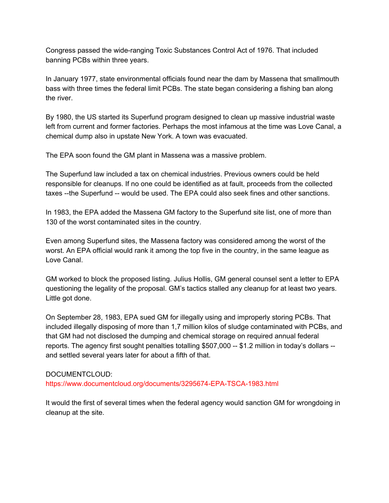Congress passed the wide-ranging Toxic Substances Control Act of 1976. That included banning PCBs within three years.

In January 1977, state environmental officials found near the dam by Massena that smallmouth bass with three times the federal limit PCBs. The state began considering a fishing ban along the river.

By 1980, the US started its Superfund program designed to clean up massive industrial waste left from current and former factories. Perhaps the most infamous at the time was Love Canal, a chemical dump also in upstate New York. A town was evacuated.

The EPA soon found the GM plant in Massena was a massive problem.

The Superfund law included a tax on chemical industries. Previous owners could be held responsible for cleanups. If no one could be identified as at fault, proceeds from the collected taxes --the Superfund -- would be used. The EPA could also seek fines and other sanctions.

In 1983, the EPA added the Massena GM factory to the Superfund site list, one of more than 130 of the worst contaminated sites in the country.

Even among Superfund sites, the Massena factory was considered among the worst of the worst. An EPA official would rank it among the top five in the country, in the same league as Love Canal.

GM worked to block the proposed listing. Julius Hollis, GM general counsel sent a letter to EPA questioning the legality of the proposal. GM's tactics stalled any cleanup for at least two years. Little got done.

On September 28, 1983, EPA sued GM for illegally using and improperly storing PCBs. That included illegally disposing of more than 1,7 million kilos of sludge contaminated with PCBs, and that GM had not disclosed the dumping and chemical storage on required annual federal reports. The agency first sought penalties totalling \$507,000 -- \$1.2 million in today's dollars -and settled several years later for about a fifth of that.

#### DOCUMENTCLOUD:

https://www.documentcloud.org/documents/3295674-EPA-TSCA-1983.html

It would the first of several times when the federal agency would sanction GM for wrongdoing in cleanup at the site.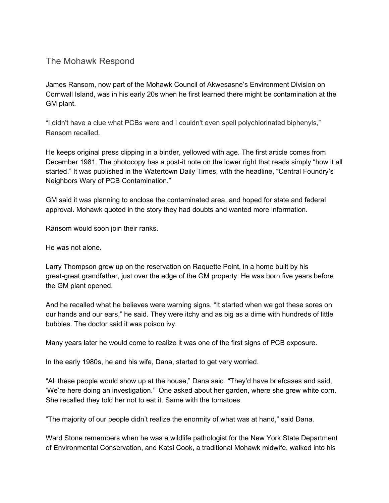#### The Mohawk Respond

James Ransom, now part of the Mohawk Council of Akwesasne's Environment Division on Cornwall Island, was in his early 20s when he first learned there might be contamination at the GM plant.

"I didn't have a clue what PCBs were and I couldn't even spell polychlorinated biphenyls," Ransom recalled.

He keeps original press clipping in a binder, yellowed with age. The first article comes from December 1981. The photocopy has a post-it note on the lower right that reads simply "how it all started." It was published in the Watertown Daily Times, with the headline, "Central Foundry's Neighbors Wary of PCB Contamination."

GM said it was planning to enclose the contaminated area, and hoped for state and federal approval. Mohawk quoted in the story they had doubts and wanted more information.

Ransom would soon join their ranks.

He was not alone.

Larry Thompson grew up on the reservation on Raquette Point, in a home built by his great-great grandfather, just over the edge of the GM property. He was born five years before the GM plant opened.

And he recalled what he believes were warning signs. "It started when we got these sores on our hands and our ears," he said. They were itchy and as big as a dime with hundreds of little bubbles. The doctor said it was poison ivy.

Many years later he would come to realize it was one of the first signs of PCB exposure.

In the early 1980s, he and his wife, Dana, started to get very worried.

"All these people would show up at the house," Dana said. "They'd have briefcases and said, 'We're here doing an investigation.'" One asked about her garden, where she grew white corn. She recalled they told her not to eat it. Same with the tomatoes.

"The majority of our people didn't realize the enormity of what was at hand," said Dana.

Ward Stone remembers when he was a wildlife pathologist for the New York State Department of Environmental Conservation, and Katsi Cook, a traditional Mohawk midwife, walked into his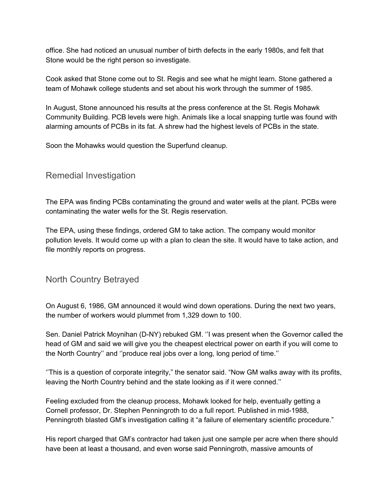office. She had noticed an unusual number of birth defects in the early 1980s, and felt that Stone would be the right person so investigate.

Cook asked that Stone come out to St. Regis and see what he might learn. Stone gathered a team of Mohawk college students and set about his work through the summer of 1985.

In August, Stone announced his results at the press conference at the St. Regis Mohawk Community Building. PCB levels were high. Animals like a local snapping turtle was found with alarming amounts of PCBs in its fat. A shrew had the highest levels of PCBs in the state.

Soon the Mohawks would question the Superfund cleanup.

## Remedial Investigation

The EPA was finding PCBs contaminating the ground and water wells at the plant. PCBs were contaminating the water wells for the St. Regis reservation.

The EPA, using these findings, ordered GM to take action. The company would monitor pollution levels. It would come up with a plan to clean the site. It would have to take action, and file monthly reports on progress.

## North Country Betrayed

On August 6, 1986, GM announced it would wind down operations. During the next two years, the number of workers would plummet from 1,329 down to 100.

Sen. Daniel Patrick Moynihan (D-NY) rebuked GM. ''I was present when the Governor called the head of GM and said we will give you the cheapest electrical power on earth if you will come to the North Country'' and ''produce real jobs over a long, long period of time.''

''This is a question of corporate integrity," the senator said. "Now GM walks away with its profits, leaving the North Country behind and the state looking as if it were conned.''

Feeling excluded from the cleanup process, Mohawk looked for help, eventually getting a Cornell professor, Dr. Stephen Penningroth to do a full report. Published in mid-1988, Penningroth blasted GM's investigation calling it "a failure of elementary scientific procedure."

His report charged that GM's contractor had taken just one sample per acre when there should have been at least a thousand, and even worse said Penningroth, massive amounts of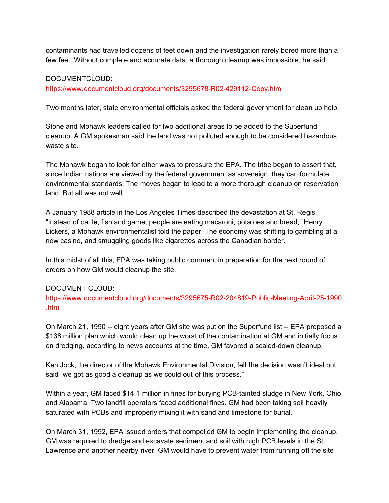contaminants had travelled dozens of feet down and the investigation rarely bored more than a few feet. Without complete and accurate data, a thorough cleanup was impossible, he said.

#### DOCUMENTCLOUD:

https://www.documentcloud.org/documents/3295678-R02-429112-Copy.html

Two months later, state environmental officials asked the federal government for clean up help.

Stone and Mohawk leaders called for two additional areas to be added to the Superfund cleanup. A GM spokesman said the land was not polluted enough to be considered hazardous waste site.

The Mohawk began to look for other ways to pressure the EPA. The tribe began to assert that, since Indian nations are viewed by the federal government as sovereign, they can formulate environmental standards. The moves began to lead to a more thorough cleanup on reservation land. But all was not well.

A January 1988 article in the Los Angeles Times described the devastation at St. Regis. "Instead of cattle, fish and game, people are eating macaroni, potatoes and bread," Henry Lickers, a Mohawk environmentalist told the paper. The economy was shifting to gambling at a new casino, and smuggling goods like cigarettes across the Canadian border.

In this midst of all this, EPA was taking public comment in preparation for the next round of orders on how GM would cleanup the site.

#### DOCUMENT CLOUD:

https://www.documentcloud.org/documents/3295675-R02-204819-Public-Meeting-April-25-1990 .html

On March 21, 1990 -- eight years after GM site was put on the Superfund list -- EPA proposed a \$138 million plan which would clean up the worst of the contamination at GM and initially focus on dredging, according to news accounts at the time. GM favored a scaled-down cleanup.

Ken Jock, the director of the Mohawk Environmental Division, felt the decision wasn't ideal but said "we got as good a cleanup as we could out of this process."

Within a year, GM faced \$14.1 million in fines for burying PCB-tainted sludge in New York, Ohio and Alabama. Two landfill operators faced additional fines. GM had been taking soil heavily saturated with PCBs and improperly mixing it with sand and limestone for burial.

On March 31, 1992, EPA issued orders that compelled GM to begin implementing the cleanup. GM was required to dredge and excavate sediment and soil with high PCB levels in the St. Lawrence and another nearby river. GM would have to prevent water from running off the site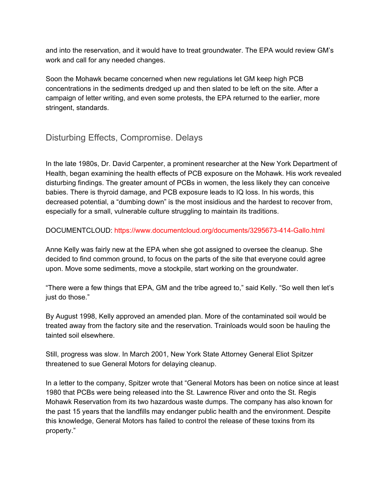and into the reservation, and it would have to treat groundwater. The EPA would review GM's work and call for any needed changes.

Soon the Mohawk became concerned when new regulations let GM keep high PCB concentrations in the sediments dredged up and then slated to be left on the site. After a campaign of letter writing, and even some protests, the EPA returned to the earlier, more stringent, standards.

# Disturbing Effects, Compromise. Delays

In the late 1980s, Dr. David Carpenter, a prominent researcher at the New York Department of Health, began examining the health effects of PCB exposure on the Mohawk. His work revealed disturbing findings. The greater amount of PCBs in women, the less likely they can conceive babies. There is thyroid damage, and PCB exposure leads to IQ loss. In his words, this decreased potential, a "dumbing down" is the most insidious and the hardest to recover from, especially for a small, vulnerable culture struggling to maintain its traditions.

#### DOCUMENTCLOUD: https://www.documentcloud.org/documents/3295673-414-Gallo.html

Anne Kelly was fairly new at the EPA when she got assigned to oversee the cleanup. She decided to find common ground, to focus on the parts of the site that everyone could agree upon. Move some sediments, move a stockpile, start working on the groundwater.

"There were a few things that EPA, GM and the tribe agreed to," said Kelly. "So well then let's just do those."

By August 1998, Kelly approved an amended plan. More of the contaminated soil would be treated away from the factory site and the reservation. Trainloads would soon be hauling the tainted soil elsewhere.

Still, progress was slow. In March 2001, New York State Attorney General Eliot Spitzer threatened to sue General Motors for delaying cleanup.

In a letter to the company, Spitzer wrote that "General Motors has been on notice since at least 1980 that PCBs were being released into the St. Lawrence River and onto the St. Regis Mohawk Reservation from its two hazardous waste dumps. The company has also known for the past 15 years that the landfills may endanger public health and the environment. Despite this knowledge, General Motors has failed to control the release of these toxins from its property."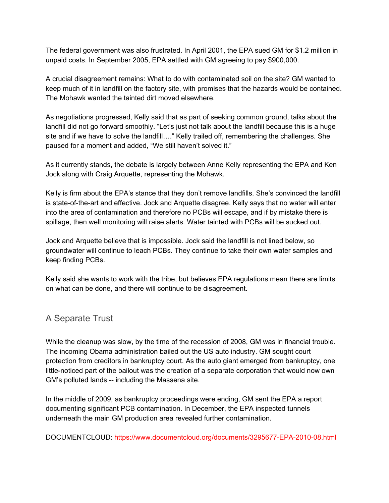The federal government was also frustrated. In April 2001, the EPA sued GM for \$1.2 million in unpaid costs. In September 2005, EPA settled with GM agreeing to pay \$900,000.

A crucial disagreement remains: What to do with contaminated soil on the site? GM wanted to keep much of it in landfill on the factory site, with promises that the hazards would be contained. The Mohawk wanted the tainted dirt moved elsewhere.

As negotiations progressed, Kelly said that as part of seeking common ground, talks about the landfill did not go forward smoothly. "Let's just not talk about the landfill because this is a huge site and if we have to solve the landfill...." Kelly trailed off, remembering the challenges. She paused for a moment and added, "We still haven't solved it."

As it currently stands, the debate is largely between Anne Kelly representing the EPA and Ken Jock along with Craig Arquette, representing the Mohawk.

Kelly is firm about the EPA's stance that they don't remove landfills. She's convinced the landfill is state-of-the-art and effective. Jock and Arquette disagree. Kelly says that no water will enter into the area of contamination and therefore no PCBs will escape, and if by mistake there is spillage, then well monitoring will raise alerts. Water tainted with PCBs will be sucked out.

Jock and Arquette believe that is impossible. Jock said the landfill is not lined below, so groundwater will continue to leach PCBs. They continue to take their own water samples and keep finding PCBs.

Kelly said she wants to work with the tribe, but believes EPA regulations mean there are limits on what can be done, and there will continue to be disagreement.

# A Separate Trust

While the cleanup was slow, by the time of the recession of 2008, GM was in financial trouble. The incoming Obama administration bailed out the US auto industry. GM sought court protection from creditors in bankruptcy court. As the auto giant emerged from bankruptcy, one little-noticed part of the bailout was the creation of a separate corporation that would now own GM's polluted lands -- including the Massena site.

In the middle of 2009, as bankruptcy proceedings were ending, GM sent the EPA a report documenting significant PCB contamination. In December, the EPA inspected tunnels underneath the main GM production area revealed further contamination.

DOCUMENTCLOUD: https://www.documentcloud.org/documents/3295677-EPA-2010-08.html